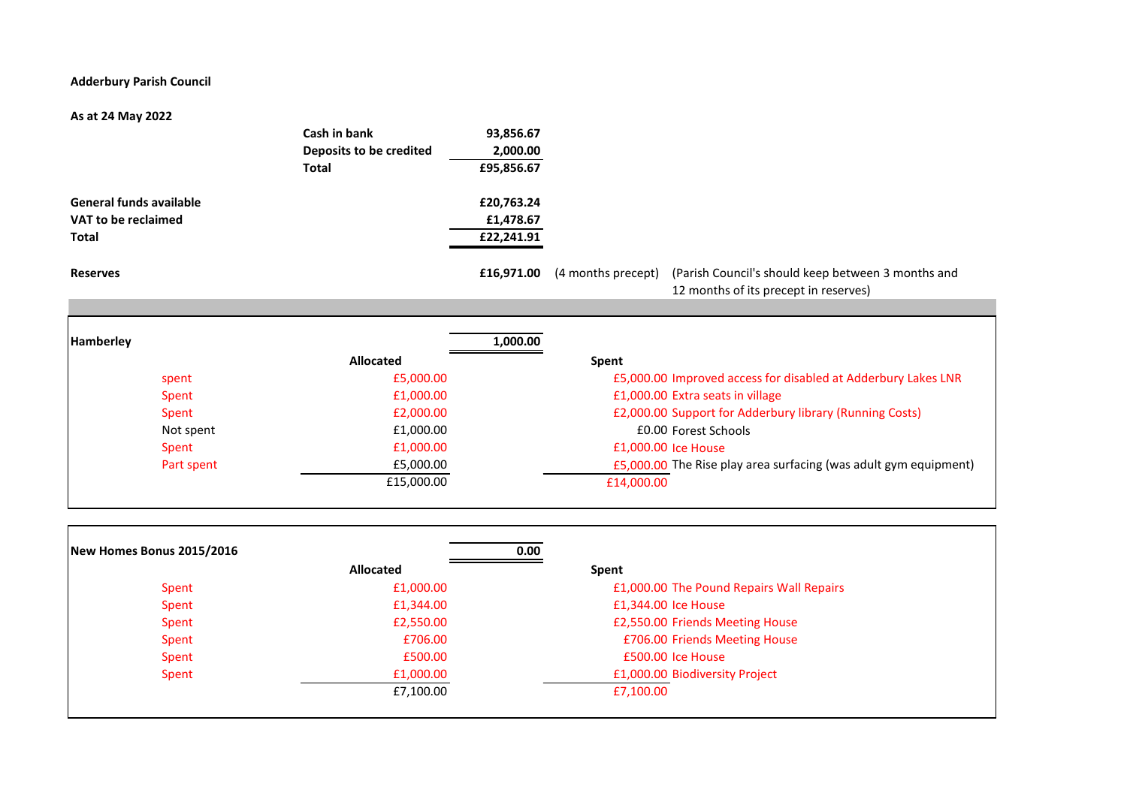## **Adderbury Parish Council**

## **As at 24 May 2022**

|                                | Cash in bank<br>Deposits to be credited | 93,856.67<br>2,000.00 |                    |                                                                                             |
|--------------------------------|-----------------------------------------|-----------------------|--------------------|---------------------------------------------------------------------------------------------|
|                                | <b>Total</b>                            | £95,856.67            |                    |                                                                                             |
| <b>General funds available</b> |                                         | £20,763.24            |                    |                                                                                             |
| VAT to be reclaimed            |                                         | £1,478.67             |                    |                                                                                             |
| <b>Total</b>                   |                                         | £22,241.91            |                    |                                                                                             |
| <b>Reserves</b>                |                                         | £16,971.00            | (4 months precept) | (Parish Council's should keep between 3 months and<br>12 months of its precept in reserves) |
|                                |                                         |                       |                    |                                                                                             |
|                                |                                         |                       |                    |                                                                                             |

| <b>Hamberley</b> | 1,000.00         |                                                                  |
|------------------|------------------|------------------------------------------------------------------|
|                  | <b>Allocated</b> | Spent                                                            |
| spent            | £5,000.00        | £5,000.00 Improved access for disabled at Adderbury Lakes LNR    |
| Spent            | £1,000.00        | £1,000.00 Extra seats in village                                 |
| Spent            | £2,000.00        | £2,000.00 Support for Adderbury library (Running Costs)          |
| Not spent        | £1,000.00        | £0.00 Forest Schools                                             |
| Spent            | £1,000.00        | £1,000.00 Ice House                                              |
| Part spent       | £5,000.00        | £5,000.00 The Rise play area surfacing (was adult gym equipment) |
|                  | £15,000.00       | £14,000.00                                                       |
|                  |                  |                                                                  |

| New Homes Bonus 2015/2016 | 0.00             |                                          |
|---------------------------|------------------|------------------------------------------|
|                           | <b>Allocated</b> | Spent                                    |
| Spent                     | £1,000.00        | £1,000.00 The Pound Repairs Wall Repairs |
| Spent                     | £1,344.00        | £1,344.00 Ice House                      |
| Spent                     | £2,550.00        | £2,550.00 Friends Meeting House          |
| Spent                     | £706.00          | £706.00 Friends Meeting House            |
| Spent                     | £500.00          | £500.00 Ice House                        |
| Spent                     | £1,000.00        | £1,000.00 Biodiversity Project           |
|                           | £7,100.00        | £7,100.00                                |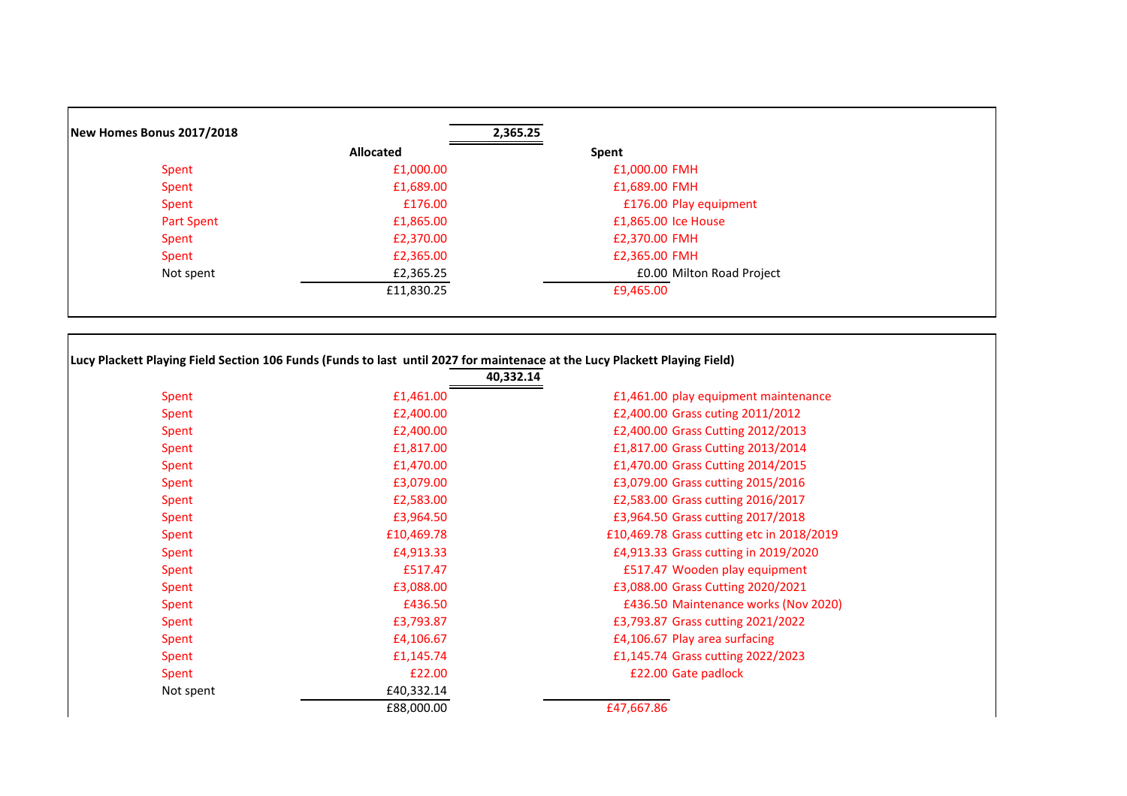| New Homes Bonus 2017/2018 |                  | 2,365.25                  |
|---------------------------|------------------|---------------------------|
|                           | <b>Allocated</b> | Spent                     |
| Spent                     | £1,000.00        | £1,000.00 FMH             |
| Spent                     | £1,689.00        | £1,689.00 FMH             |
| Spent                     | £176.00          | £176.00 Play equipment    |
| Part Spent                | £1,865.00        | £1,865.00 Ice House       |
| Spent                     | £2,370.00        | £2,370.00 FMH             |
| Spent                     | £2,365.00        | £2,365.00 FMH             |
| Not spent                 | £2,365.25        | £0.00 Milton Road Project |
|                           | £11,830.25       | £9,465.00                 |

| Lucy Plackett Playing Field Section 106 Funds (Funds to last until 2027 for maintenace at the Lucy Plackett Playing Field) |
|----------------------------------------------------------------------------------------------------------------------------|
| 40.332.14                                                                                                                  |

| £1,461.00 play equipment maintenance      |
|-------------------------------------------|
|                                           |
| £2,400.00 Grass cuting 2011/2012          |
| £2,400.00 Grass Cutting 2012/2013         |
| £1,817.00 Grass Cutting 2013/2014         |
| £1,470.00 Grass Cutting 2014/2015         |
| £3,079.00 Grass cutting 2015/2016         |
| £2,583.00 Grass cutting 2016/2017         |
| £3,964.50 Grass cutting 2017/2018         |
| £10,469.78 Grass cutting etc in 2018/2019 |
| £4,913.33 Grass cutting in 2019/2020      |
| £517.47 Wooden play equipment             |
| £3,088.00 Grass Cutting 2020/2021         |
| £436.50 Maintenance works (Nov 2020)      |
| £3,793.87 Grass cutting 2021/2022         |
| £4,106.67 Play area surfacing             |
| £1,145.74 Grass cutting 2022/2023         |
| £22.00 Gate padlock                       |
|                                           |
| £47,667.86                                |
|                                           |